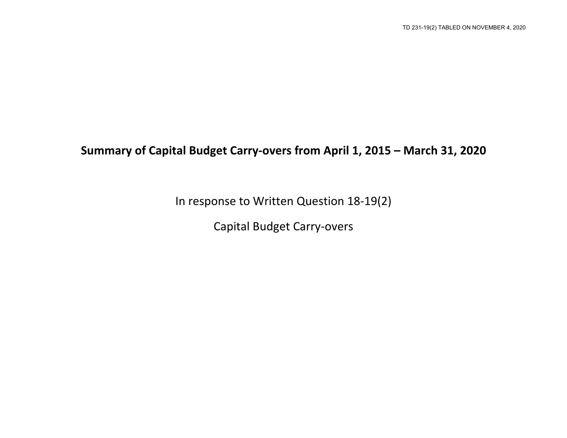## **Summary of Capital Budget Carry-overs from April 1, 2015 – March 31, 2020**

In response to Written Question 18-19(2)

Capital Budget Carry-overs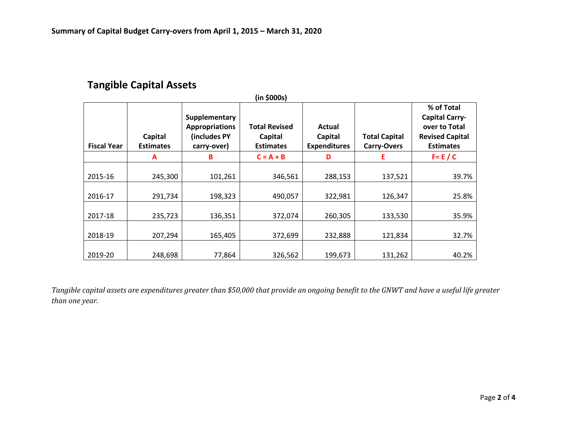## **Tangible Capital Assets**

| (in \$000s)        |                             |                                                                       |                                                     |                                          |                                            |                                                                                                    |  |
|--------------------|-----------------------------|-----------------------------------------------------------------------|-----------------------------------------------------|------------------------------------------|--------------------------------------------|----------------------------------------------------------------------------------------------------|--|
| <b>Fiscal Year</b> | Capital<br><b>Estimates</b> | Supplementary<br><b>Appropriations</b><br>(includes PY<br>carry-over) | <b>Total Revised</b><br>Capital<br><b>Estimates</b> | Actual<br>Capital<br><b>Expenditures</b> | <b>Total Capital</b><br><b>Carry-Overs</b> | % of Total<br><b>Capital Carry-</b><br>over to Total<br><b>Revised Capital</b><br><b>Estimates</b> |  |
|                    | А                           | B                                                                     | $C = A + B$                                         | D                                        | Ε                                          | $F = E / C$                                                                                        |  |
| 2015-16<br>2016-17 | 245,300<br>291,734          | 101,261<br>198,323                                                    | 346,561<br>490,057                                  | 288,153<br>322,981                       | 137,521<br>126,347                         | 39.7%<br>25.8%                                                                                     |  |
| 2017-18            | 235,723                     | 136,351                                                               | 372,074                                             | 260,305                                  | 133,530                                    | 35.9%                                                                                              |  |
| 2018-19            | 207,294                     | 165,405                                                               | 372,699                                             | 232,888                                  | 121,834                                    | 32.7%                                                                                              |  |
| 2019-20            | 248,698                     | 77,864                                                                | 326,562                                             | 199,673                                  | 131,262                                    | 40.2%                                                                                              |  |

*Tangible capital assets are expenditures greater than \$50,000 that provide an ongoing benefit to the GNWT and have a useful life greater than one year.*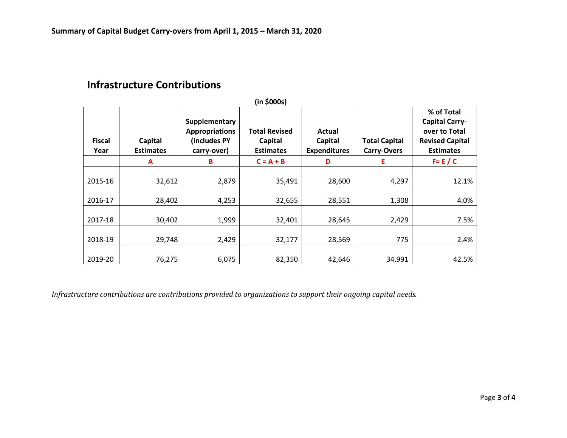## **Infrastructure Contributions**

| (in \$000s)           |                             |                                                                       |                                                     |                                          |                                            |                                                                                                    |  |
|-----------------------|-----------------------------|-----------------------------------------------------------------------|-----------------------------------------------------|------------------------------------------|--------------------------------------------|----------------------------------------------------------------------------------------------------|--|
| <b>Fiscal</b><br>Year | Capital<br><b>Estimates</b> | Supplementary<br><b>Appropriations</b><br>(includes PY<br>carry-over) | <b>Total Revised</b><br>Capital<br><b>Estimates</b> | Actual<br>Capital<br><b>Expenditures</b> | <b>Total Capital</b><br><b>Carry-Overs</b> | % of Total<br><b>Capital Carry-</b><br>over to Total<br><b>Revised Capital</b><br><b>Estimates</b> |  |
|                       | А                           | B                                                                     | $C = A + B$                                         | D                                        | Е                                          | $F = E / C$                                                                                        |  |
| 2015-16               | 32,612                      | 2,879                                                                 | 35,491                                              | 28,600                                   | 4,297                                      | 12.1%                                                                                              |  |
| 2016-17               | 28,402                      | 4,253                                                                 | 32,655                                              | 28,551                                   | 1,308                                      | 4.0%                                                                                               |  |
| 2017-18               | 30,402                      | 1,999                                                                 | 32,401                                              | 28,645                                   | 2,429                                      | 7.5%                                                                                               |  |
| 2018-19               | 29,748                      | 2,429                                                                 | 32,177                                              | 28,569                                   | 775                                        | 2.4%                                                                                               |  |
| 2019-20               | 76,275                      | 6,075                                                                 | 82,350                                              | 42,646                                   | 34,991                                     | 42.5%                                                                                              |  |

*Infrastructure contributions are contributions provided to organizations to support their ongoing capital needs.*